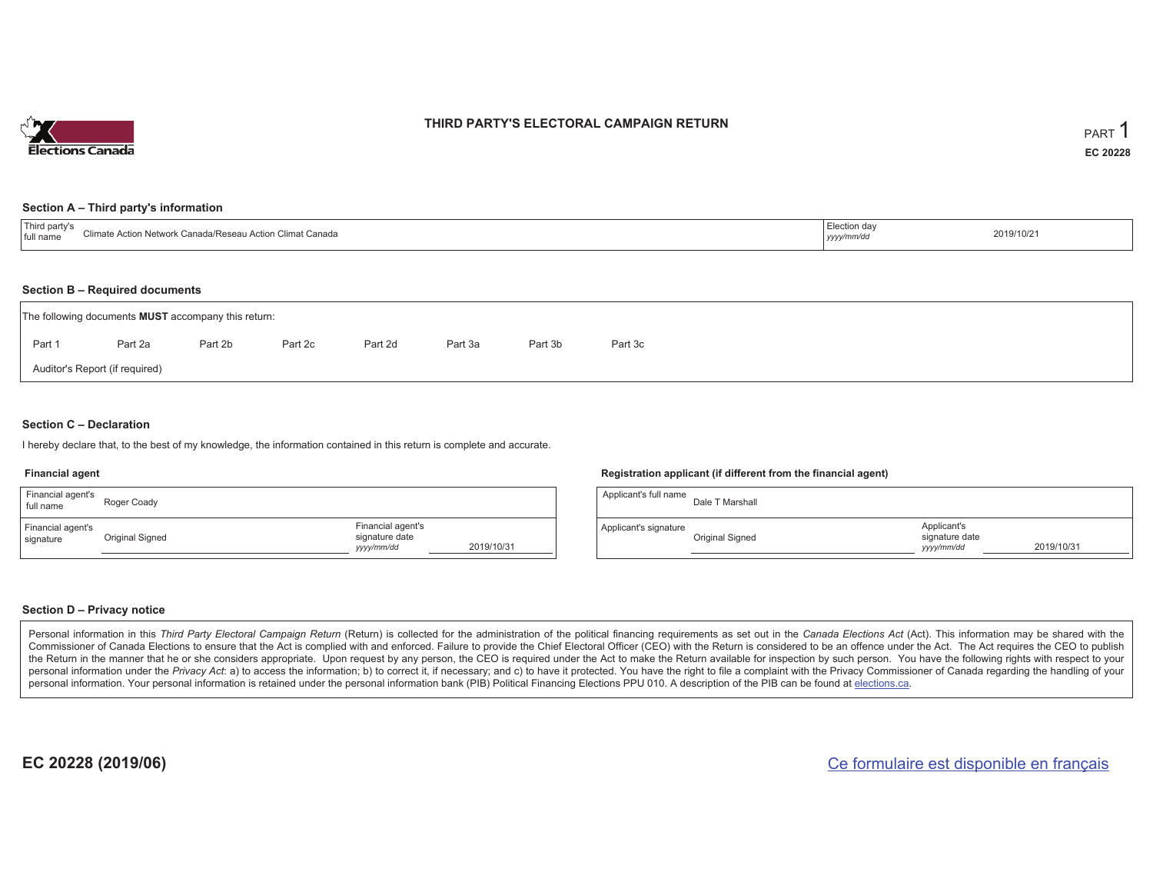

## **THIRD PARTY'S ELECTORAL CAMPAIGN RETURN**

#### **Section A – Third party's information**

| I full name | Canada<br>rk Canada/Reseau Action Climat (<br>$\sim$ 310 $\mu$ . | ∴Juu∩ dav<br>$ $ yyyy | 2019/10/21 |
|-------------|------------------------------------------------------------------|-----------------------|------------|
|             |                                                                  |                       |            |

#### **Section B – Required documents**

|                                | The following documents <b>MUST</b> accompany this return: |         |         |         |         |         |         |  |  |  |  |
|--------------------------------|------------------------------------------------------------|---------|---------|---------|---------|---------|---------|--|--|--|--|
| Part 1                         | Part 2a                                                    | Part 2b | Part 2c | Part 2d | Part 3a | Part 3b | Part 3c |  |  |  |  |
| Auditor's Report (if required) |                                                            |         |         |         |         |         |         |  |  |  |  |

### **Section C – Declaration**

I hereby declare that, to the best of my knowledge, the information contained in this return is complete and accurate.

#### **Financial agent**

| Financial agent's<br>full name | Roger Coady     |                                                   |            |
|--------------------------------|-----------------|---------------------------------------------------|------------|
| Financial agent's<br>signature | Original Signed | Financial agent's<br>signature date<br>yyyy/mm/dd | 2019/10/31 |

### **Registration applicant (if different from the financial agent)**

| Applicant's full name | Dale T Marshall |                                             |            |
|-----------------------|-----------------|---------------------------------------------|------------|
| Applicant's signature | Original Signed | Applicant's<br>signature date<br>yyyy/mm/dd | 2019/10/31 |

### **Section D – Privacy notice**

Personal information in this Third Party Electoral Campaign Return (Return) is collected for the administration of the political financing requirements as set out in the Canada Elections Act (Act). This information may be Commissioner of Canada Elections to ensure that the Act is complied with and enforced. Failure to provide the Chief Electoral Officer (CEO) with the Return is considered to be an offence under the Act. The Act requires the the Return in the manner that he or she considers appropriate. Upon request by any person, the CEO is required under the Act to make the Return available for inspection by such person. You have the following rights with re personal information under the Privacy Act: a) to access the information; b) to correct it, if necessary; and c) to have it protected. You have the right to file a complaint with the Privacy Commissioner of Canada regardin personal information. Your personal information is retained under the personal information bank (PIB) Political Financing Elections PPU 010. A description of the PIB can be found at elections.ca.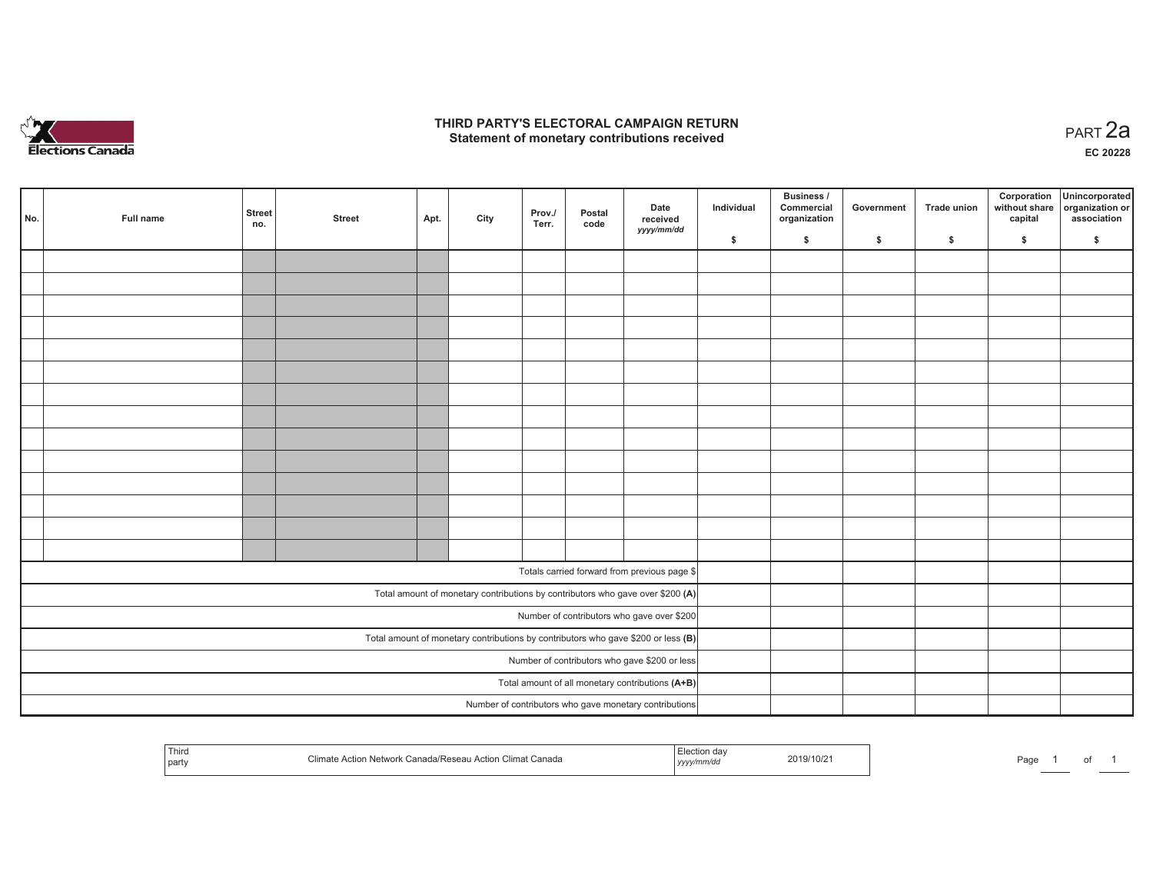

### **THIRD PARTY'S ELECTORAL CAMPAIGN RETURN HIRD PARTY'S ELECTORAL CAMPAIGN RETURN<br>Statement of monetary contributions received PART 2a**

**EC 20228**

| No. | <b>Full name</b> | Street<br>no. | <b>Street</b> | Apt.                                          | City | Prov./<br>Terr. | Postal<br>code | Date<br>received<br>yyyy/mm/dd                                                                             | Individual | Business /<br>Commercial<br>organization | Government | Trade union | Corporation<br>without share<br>capital | Unincorporated<br>organization or<br>association |
|-----|------------------|---------------|---------------|-----------------------------------------------|------|-----------------|----------------|------------------------------------------------------------------------------------------------------------|------------|------------------------------------------|------------|-------------|-----------------------------------------|--------------------------------------------------|
|     |                  |               |               |                                               |      |                 |                |                                                                                                            | \$         | $\mathsf{s}$                             | \$         | \$          | \$                                      | \$                                               |
|     |                  |               |               |                                               |      |                 |                |                                                                                                            |            |                                          |            |             |                                         |                                                  |
|     |                  |               |               |                                               |      |                 |                |                                                                                                            |            |                                          |            |             |                                         |                                                  |
|     |                  |               |               |                                               |      |                 |                |                                                                                                            |            |                                          |            |             |                                         |                                                  |
|     |                  |               |               |                                               |      |                 |                |                                                                                                            |            |                                          |            |             |                                         |                                                  |
|     |                  |               |               |                                               |      |                 |                |                                                                                                            |            |                                          |            |             |                                         |                                                  |
|     |                  |               |               |                                               |      |                 |                |                                                                                                            |            |                                          |            |             |                                         |                                                  |
|     |                  |               |               |                                               |      |                 |                |                                                                                                            |            |                                          |            |             |                                         |                                                  |
|     |                  |               |               |                                               |      |                 |                |                                                                                                            |            |                                          |            |             |                                         |                                                  |
|     |                  |               |               |                                               |      |                 |                |                                                                                                            |            |                                          |            |             |                                         |                                                  |
|     |                  |               |               |                                               |      |                 |                |                                                                                                            |            |                                          |            |             |                                         |                                                  |
|     |                  |               |               |                                               |      |                 |                |                                                                                                            |            |                                          |            |             |                                         |                                                  |
|     |                  |               |               |                                               |      |                 |                |                                                                                                            |            |                                          |            |             |                                         |                                                  |
|     |                  |               |               |                                               |      |                 |                |                                                                                                            |            |                                          |            |             |                                         |                                                  |
|     |                  |               |               |                                               |      |                 |                |                                                                                                            |            |                                          |            |             |                                         |                                                  |
|     |                  |               |               |                                               |      |                 |                |                                                                                                            |            |                                          |            |             |                                         |                                                  |
|     |                  |               |               |                                               |      |                 |                | Totals carried forward from previous page \$                                                               |            |                                          |            |             |                                         |                                                  |
|     |                  |               |               |                                               |      |                 |                | Total amount of monetary contributions by contributors who gave over \$200 (A)                             |            |                                          |            |             |                                         |                                                  |
|     |                  |               |               |                                               |      |                 |                | Number of contributors who gave over \$200                                                                 |            |                                          |            |             |                                         |                                                  |
|     |                  |               |               |                                               |      |                 |                | Total amount of monetary contributions by contributors who gave \$200 or less $(B)$                        |            |                                          |            |             |                                         |                                                  |
|     |                  |               |               | Number of contributors who gave \$200 or less |      |                 |                |                                                                                                            |            |                                          |            |             |                                         |                                                  |
|     |                  |               |               |                                               |      |                 |                |                                                                                                            |            |                                          |            |             |                                         |                                                  |
|     |                  |               |               |                                               |      |                 |                | Total amount of all monetary contributions (A+B)<br>Number of contributors who gave monetary contributions |            |                                          |            |             |                                         |                                                  |
|     |                  |               |               |                                               |      |                 |                |                                                                                                            |            |                                          |            |             |                                         |                                                  |

| Third<br>party | Climate Action Network Canada/Reseau Action Climat Canada | .<br>, <i>yyyyımıw</i> | 2019/10/21 | ∩הה⊡<br>aut-<br>. |  | 0t |  |
|----------------|-----------------------------------------------------------|------------------------|------------|-------------------|--|----|--|
|----------------|-----------------------------------------------------------|------------------------|------------|-------------------|--|----|--|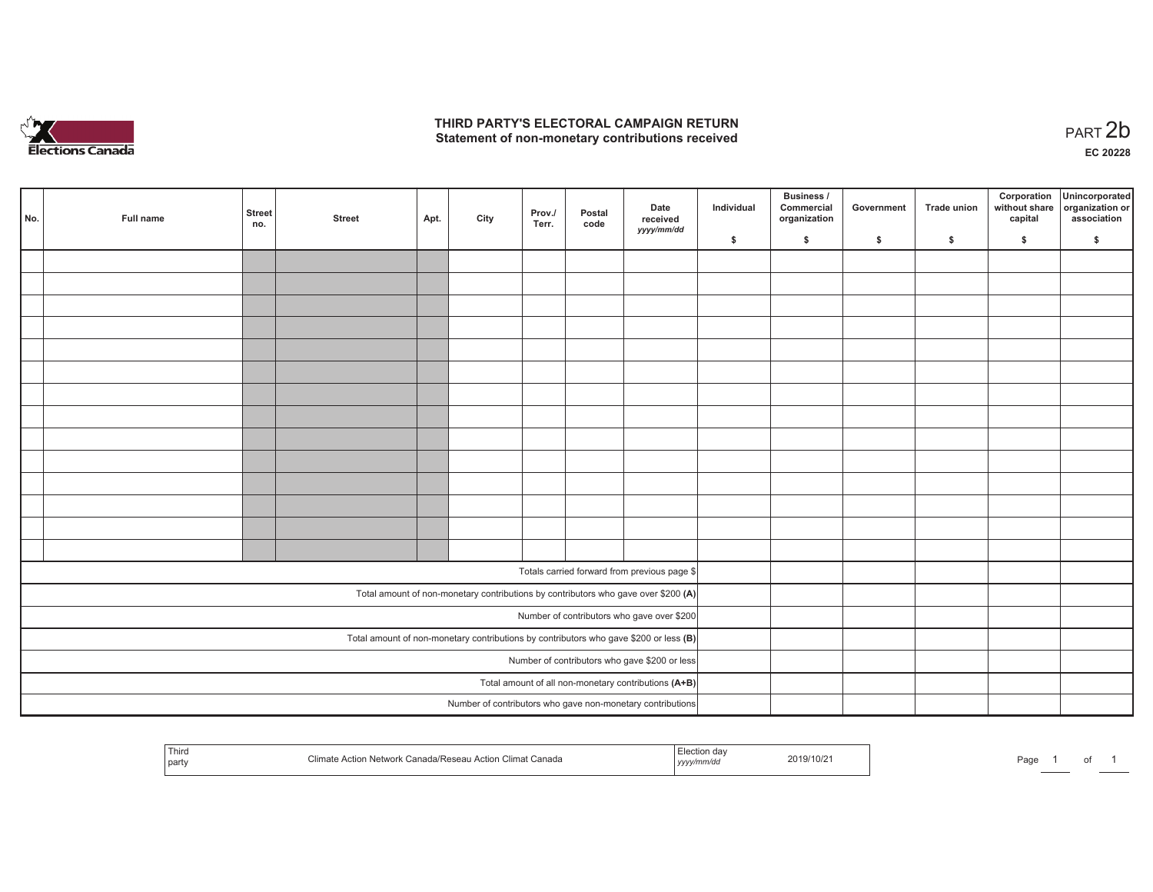

## **THIRD PARTY'S ELECTORAL CAMPAIGN RETURN**  THIRD PARTY'S ELECTORAL CAMPAIGN RETURN<br>Statement of non-monetary contributions received<br> **PART 2b**

| No. | Full name | <b>Street</b><br>no.                                 | <b>Street</b>                              | Apt. | City | Prov./<br>Terr. | Postal<br>code | Date<br>received<br>yyyy/mm/dd                                                          | Individual | <b>Business /</b><br>Commercial<br>organization | Government   | Trade union  | Corporation<br>without share<br>capital | Unincorporated<br>organization or<br>association |
|-----|-----------|------------------------------------------------------|--------------------------------------------|------|------|-----------------|----------------|-----------------------------------------------------------------------------------------|------------|-------------------------------------------------|--------------|--------------|-----------------------------------------|--------------------------------------------------|
|     |           |                                                      |                                            |      |      |                 |                |                                                                                         | \$         | \$                                              | $\mathsf{s}$ | $\mathbf{s}$ | \$                                      | \$                                               |
|     |           |                                                      |                                            |      |      |                 |                |                                                                                         |            |                                                 |              |              |                                         |                                                  |
|     |           |                                                      |                                            |      |      |                 |                |                                                                                         |            |                                                 |              |              |                                         |                                                  |
|     |           |                                                      |                                            |      |      |                 |                |                                                                                         |            |                                                 |              |              |                                         |                                                  |
|     |           |                                                      |                                            |      |      |                 |                |                                                                                         |            |                                                 |              |              |                                         |                                                  |
|     |           |                                                      |                                            |      |      |                 |                |                                                                                         |            |                                                 |              |              |                                         |                                                  |
|     |           |                                                      |                                            |      |      |                 |                |                                                                                         |            |                                                 |              |              |                                         |                                                  |
|     |           |                                                      |                                            |      |      |                 |                |                                                                                         |            |                                                 |              |              |                                         |                                                  |
|     |           |                                                      |                                            |      |      |                 |                |                                                                                         |            |                                                 |              |              |                                         |                                                  |
|     |           |                                                      |                                            |      |      |                 |                |                                                                                         |            |                                                 |              |              |                                         |                                                  |
|     |           |                                                      |                                            |      |      |                 |                |                                                                                         |            |                                                 |              |              |                                         |                                                  |
|     |           |                                                      |                                            |      |      |                 |                |                                                                                         |            |                                                 |              |              |                                         |                                                  |
|     |           |                                                      |                                            |      |      |                 |                |                                                                                         |            |                                                 |              |              |                                         |                                                  |
|     |           |                                                      |                                            |      |      |                 |                |                                                                                         |            |                                                 |              |              |                                         |                                                  |
|     |           |                                                      |                                            |      |      |                 |                |                                                                                         |            |                                                 |              |              |                                         |                                                  |
|     |           |                                                      |                                            |      |      |                 |                |                                                                                         |            |                                                 |              |              |                                         |                                                  |
|     |           |                                                      |                                            |      |      |                 |                | Totals carried forward from previous page \$                                            |            |                                                 |              |              |                                         |                                                  |
|     |           |                                                      |                                            |      |      |                 |                | Total amount of non-monetary contributions by contributors who gave over \$200 (A)      |            |                                                 |              |              |                                         |                                                  |
|     |           |                                                      | Number of contributors who gave over \$200 |      |      |                 |                |                                                                                         |            |                                                 |              |              |                                         |                                                  |
|     |           |                                                      |                                            |      |      |                 |                | Total amount of non-monetary contributions by contributors who gave \$200 or less $(B)$ |            |                                                 |              |              |                                         |                                                  |
|     |           | Number of contributors who gave \$200 or less        |                                            |      |      |                 |                |                                                                                         |            |                                                 |              |              |                                         |                                                  |
|     |           | Total amount of all non-monetary contributions (A+B) |                                            |      |      |                 |                |                                                                                         |            |                                                 |              |              |                                         |                                                  |
|     |           |                                                      |                                            |      |      |                 |                | Number of contributors who gave non-monetary contributions                              |            |                                                 |              |              |                                         |                                                  |
|     |           |                                                      |                                            |      |      |                 |                |                                                                                         |            |                                                 |              |              |                                         |                                                  |

| l Third<br>Canada<br>Climat '<br>$\sim$<br>  part<br>1.31.11.11 | 2019/10/2<br>,,,, | Page |
|-----------------------------------------------------------------|-------------------|------|
|-----------------------------------------------------------------|-------------------|------|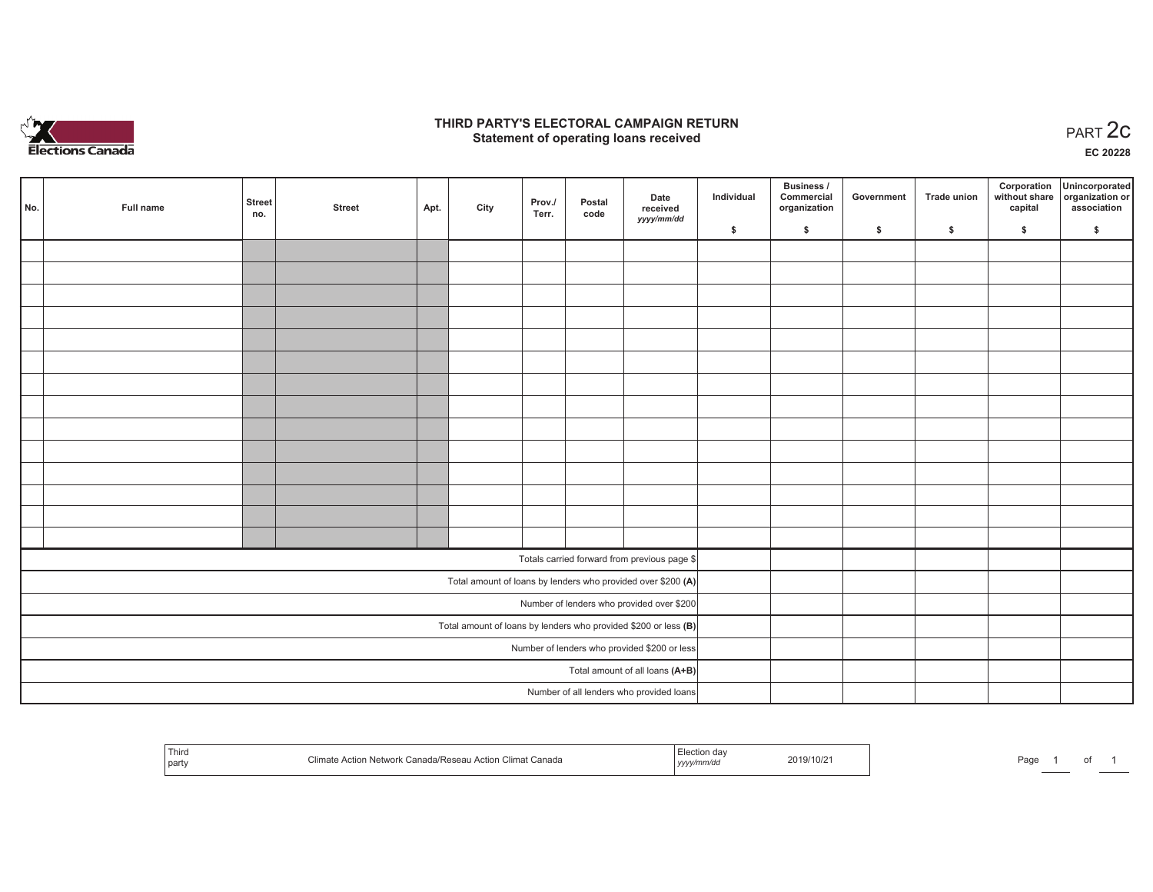

## **THIRD PARTY'S ELECTORAL CAMPAIGN RETURN STATE:** PRACT OF OPPRESS THE STATE STATE STATE STATE STATE STATE STATE STATE STATE STATE START 2C PART 2C STATE STATE STATE STATE STATE STATE STATE STATE STATE STATE STATE STATE STATE STATE STATE STATE STATE STATE STATE S

**EC 20228**

| No. | Full name | <b>Street</b><br>no.                                            | <b>Street</b> | Apt. | City | Prov./<br>Terr. | Postal<br>code | Date<br>received                                             | Individual | Business /<br>Commercial<br>organization | Government | Trade union | Corporation<br>capital | Unincorporated<br>without share organization or<br>association |
|-----|-----------|-----------------------------------------------------------------|---------------|------|------|-----------------|----------------|--------------------------------------------------------------|------------|------------------------------------------|------------|-------------|------------------------|----------------------------------------------------------------|
|     |           |                                                                 |               |      |      |                 |                | yyyy/mm/dd                                                   | \$         | \$                                       | \$         | \$          | \$                     | \$                                                             |
|     |           |                                                                 |               |      |      |                 |                |                                                              |            |                                          |            |             |                        |                                                                |
|     |           |                                                                 |               |      |      |                 |                |                                                              |            |                                          |            |             |                        |                                                                |
|     |           |                                                                 |               |      |      |                 |                |                                                              |            |                                          |            |             |                        |                                                                |
|     |           |                                                                 |               |      |      |                 |                |                                                              |            |                                          |            |             |                        |                                                                |
|     |           |                                                                 |               |      |      |                 |                |                                                              |            |                                          |            |             |                        |                                                                |
|     |           |                                                                 |               |      |      |                 |                |                                                              |            |                                          |            |             |                        |                                                                |
|     |           |                                                                 |               |      |      |                 |                |                                                              |            |                                          |            |             |                        |                                                                |
|     |           |                                                                 |               |      |      |                 |                |                                                              |            |                                          |            |             |                        |                                                                |
|     |           |                                                                 |               |      |      |                 |                |                                                              |            |                                          |            |             |                        |                                                                |
|     |           |                                                                 |               |      |      |                 |                |                                                              |            |                                          |            |             |                        |                                                                |
|     |           |                                                                 |               |      |      |                 |                |                                                              |            |                                          |            |             |                        |                                                                |
|     |           |                                                                 |               |      |      |                 |                |                                                              |            |                                          |            |             |                        |                                                                |
|     |           |                                                                 |               |      |      |                 |                |                                                              |            |                                          |            |             |                        |                                                                |
|     |           |                                                                 |               |      |      |                 |                |                                                              |            |                                          |            |             |                        |                                                                |
|     |           |                                                                 |               |      |      |                 |                | Totals carried forward from previous page \$                 |            |                                          |            |             |                        |                                                                |
|     |           |                                                                 |               |      |      |                 |                | Total amount of loans by lenders who provided over \$200 (A) |            |                                          |            |             |                        |                                                                |
|     |           | Number of lenders who provided over \$200                       |               |      |      |                 |                |                                                              |            |                                          |            |             |                        |                                                                |
|     |           | Total amount of loans by lenders who provided \$200 or less (B) |               |      |      |                 |                |                                                              |            |                                          |            |             |                        |                                                                |
|     |           | Number of lenders who provided \$200 or less                    |               |      |      |                 |                |                                                              |            |                                          |            |             |                        |                                                                |
|     |           |                                                                 |               |      |      |                 |                | Total amount of all loans (A+B)                              |            |                                          |            |             |                        |                                                                |
|     |           |                                                                 |               |      |      |                 |                | Number of all lenders who provided loans                     |            |                                          |            |             |                        |                                                                |

| Third<br>party | a/Resear<br>Canada<br>Climat .<br>rtior<br>etwol<br>$-111$ | . <i>.</i> . | 2019/10/2 | Doc<br>ay |  |  |  |
|----------------|------------------------------------------------------------|--------------|-----------|-----------|--|--|--|
|----------------|------------------------------------------------------------|--------------|-----------|-----------|--|--|--|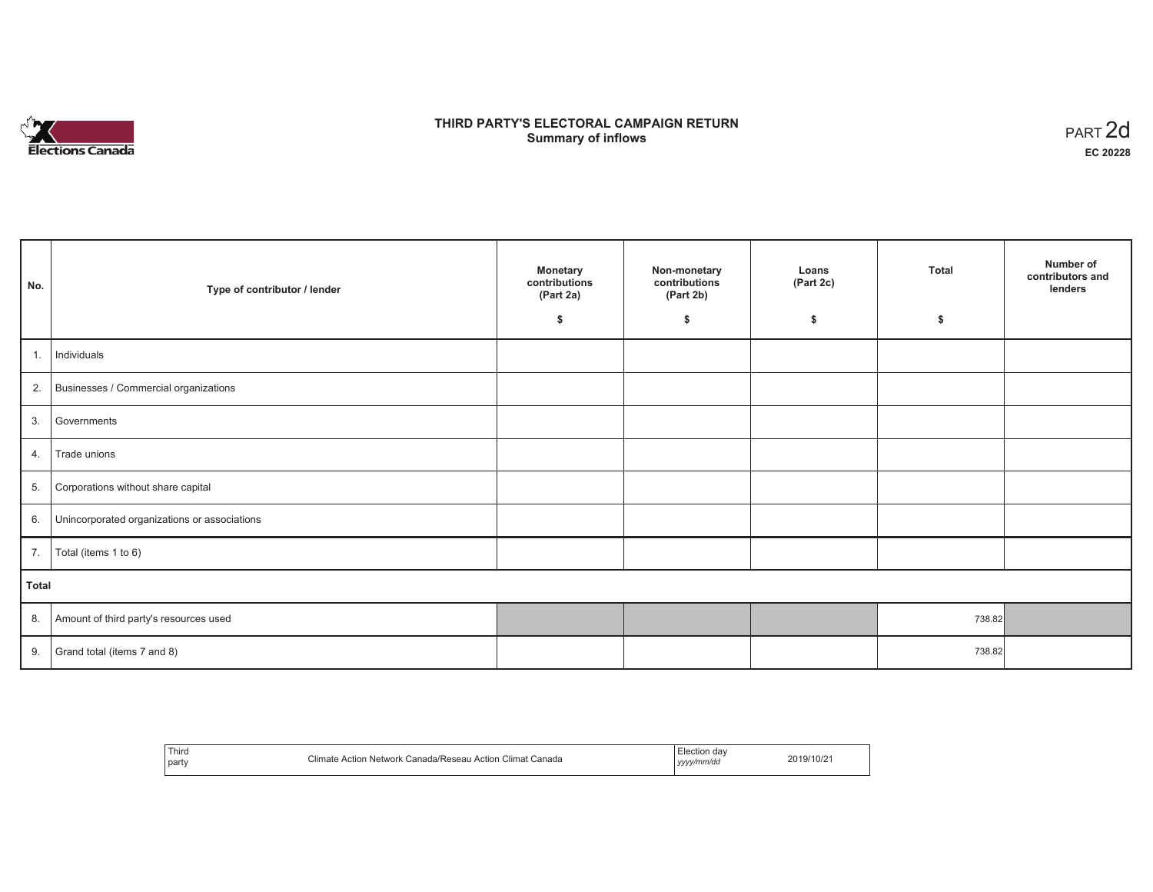

# **THIRD PARTY'S ELECTORAL CAMPAIGN RETURN S** ELECTORAL CAMPAIGN RETURN<br>Summary of inflows PART 2d

| No.   | Type of contributor / lender                 | <b>Monetary</b><br>contributions<br>(Part 2a)<br>\$ | Non-monetary<br>contributions<br>(Part 2b)<br>\$ | Loans<br>(Part 2c)<br>\$ | Total<br>\$ | Number of<br>contributors and<br>lenders |
|-------|----------------------------------------------|-----------------------------------------------------|--------------------------------------------------|--------------------------|-------------|------------------------------------------|
|       |                                              |                                                     |                                                  |                          |             |                                          |
| 1.    | Individuals                                  |                                                     |                                                  |                          |             |                                          |
|       | 2. Businesses / Commercial organizations     |                                                     |                                                  |                          |             |                                          |
| 3.    | Governments                                  |                                                     |                                                  |                          |             |                                          |
| 4.    | Trade unions                                 |                                                     |                                                  |                          |             |                                          |
| 5.    | Corporations without share capital           |                                                     |                                                  |                          |             |                                          |
| 6.    | Unincorporated organizations or associations |                                                     |                                                  |                          |             |                                          |
| 7.    | Total (items 1 to 6)                         |                                                     |                                                  |                          |             |                                          |
| Total |                                              |                                                     |                                                  |                          |             |                                          |
| 8.    | Amount of third party's resources used       |                                                     |                                                  |                          | 738.82      |                                          |
| 9.    | Grand total (items 7 and 8)                  |                                                     |                                                  |                          | 738.82      |                                          |

| Third<br>party | $\sim$<br>Climat Canada<br>∈Canada/Reseau<br>Action<br><b>Action Network</b><br>Climate | lection day<br>vvvv/mm/dd<br>,,,, | 2019/10/2 |
|----------------|-----------------------------------------------------------------------------------------|-----------------------------------|-----------|
|----------------|-----------------------------------------------------------------------------------------|-----------------------------------|-----------|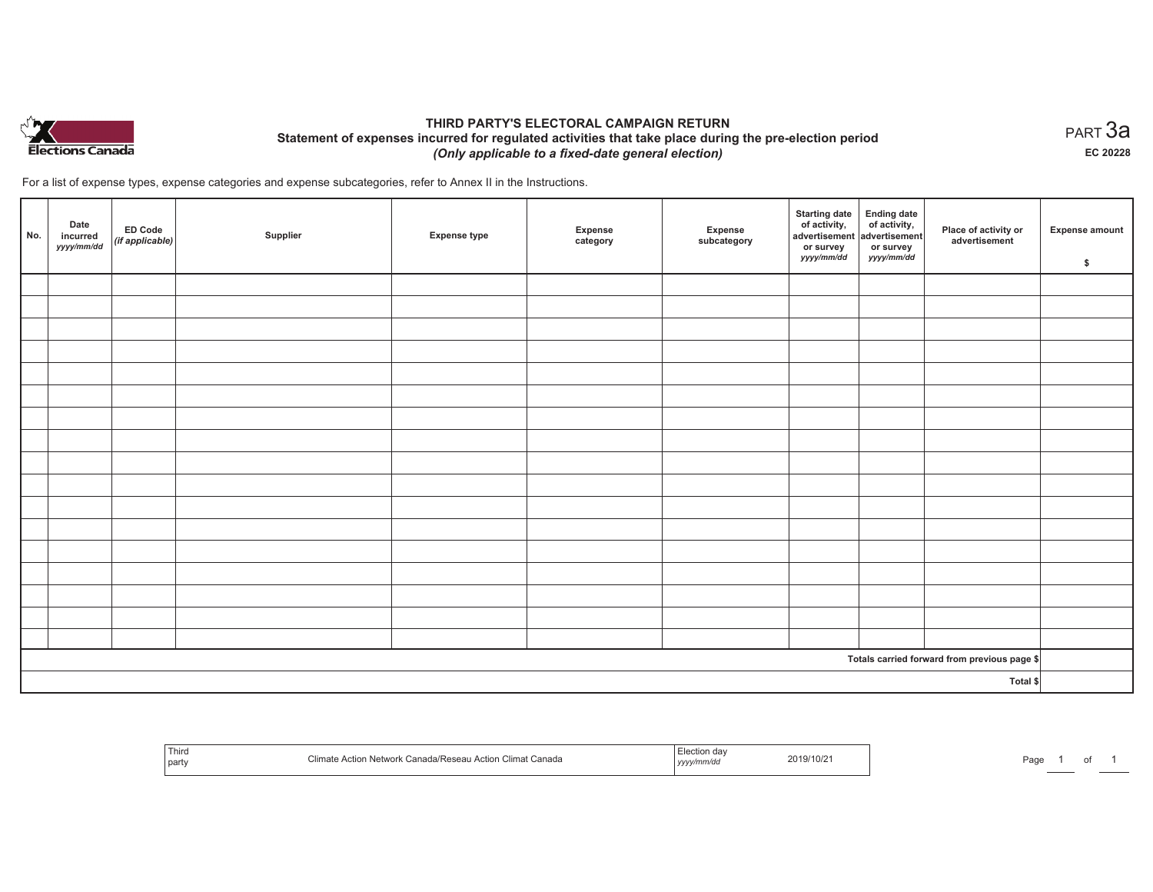

## **THIRD PARTY'S ELECTORAL CAMPAIGN RETURN Statement of expenses incurred for regulated activities that take place during the pre-election period**  *(Only applicable to a fixed-date general election)*

For a list of expense types, expense categories and expense subcategories, refer to Annex II in the Instructions.

| No. | Date<br>incurred<br>yyyy/mm/dd | ED Code<br>(if applicable) | Supplier | <b>Expense type</b> | Expense<br>category | Expense<br>subcategory | <b>Starting date</b><br>of activity,<br>advertisement<br>or survey<br>yyyy/mm/dd | Ending date<br>of activity,<br>advertisement<br>or survey<br>yyyy/mm/dd | Place of activity or<br>advertisement        | <b>Expense amount</b><br>\$ |
|-----|--------------------------------|----------------------------|----------|---------------------|---------------------|------------------------|----------------------------------------------------------------------------------|-------------------------------------------------------------------------|----------------------------------------------|-----------------------------|
|     |                                |                            |          |                     |                     |                        |                                                                                  |                                                                         |                                              |                             |
|     |                                |                            |          |                     |                     |                        |                                                                                  |                                                                         |                                              |                             |
|     |                                |                            |          |                     |                     |                        |                                                                                  |                                                                         |                                              |                             |
|     |                                |                            |          |                     |                     |                        |                                                                                  |                                                                         |                                              |                             |
|     |                                |                            |          |                     |                     |                        |                                                                                  |                                                                         |                                              |                             |
|     |                                |                            |          |                     |                     |                        |                                                                                  |                                                                         |                                              |                             |
|     |                                |                            |          |                     |                     |                        |                                                                                  |                                                                         |                                              |                             |
|     |                                |                            |          |                     |                     |                        |                                                                                  |                                                                         |                                              |                             |
|     |                                |                            |          |                     |                     |                        |                                                                                  |                                                                         |                                              |                             |
|     |                                |                            |          |                     |                     |                        |                                                                                  |                                                                         |                                              |                             |
|     |                                |                            |          |                     |                     |                        |                                                                                  |                                                                         |                                              |                             |
|     |                                |                            |          |                     |                     |                        |                                                                                  |                                                                         |                                              |                             |
|     |                                |                            |          |                     |                     |                        |                                                                                  |                                                                         |                                              |                             |
|     |                                |                            |          |                     |                     |                        |                                                                                  |                                                                         |                                              |                             |
|     |                                |                            |          |                     |                     |                        |                                                                                  |                                                                         |                                              |                             |
|     |                                |                            |          |                     |                     |                        |                                                                                  |                                                                         |                                              |                             |
|     |                                |                            |          |                     |                     |                        |                                                                                  |                                                                         |                                              |                             |
|     |                                |                            |          |                     |                     |                        |                                                                                  |                                                                         | Totals carried forward from previous page \$ |                             |
|     |                                |                            |          |                     |                     |                        |                                                                                  |                                                                         | Total \$                                     |                             |

| Third<br>  party | Climate Action Network Canada/Reseau Action Climat Canada | Election day<br>yyyy/mm/dd | 2019/10/21 | Page |  |  |
|------------------|-----------------------------------------------------------|----------------------------|------------|------|--|--|
|------------------|-----------------------------------------------------------|----------------------------|------------|------|--|--|

 $_{\sf PART}$ 3a **EC 20228**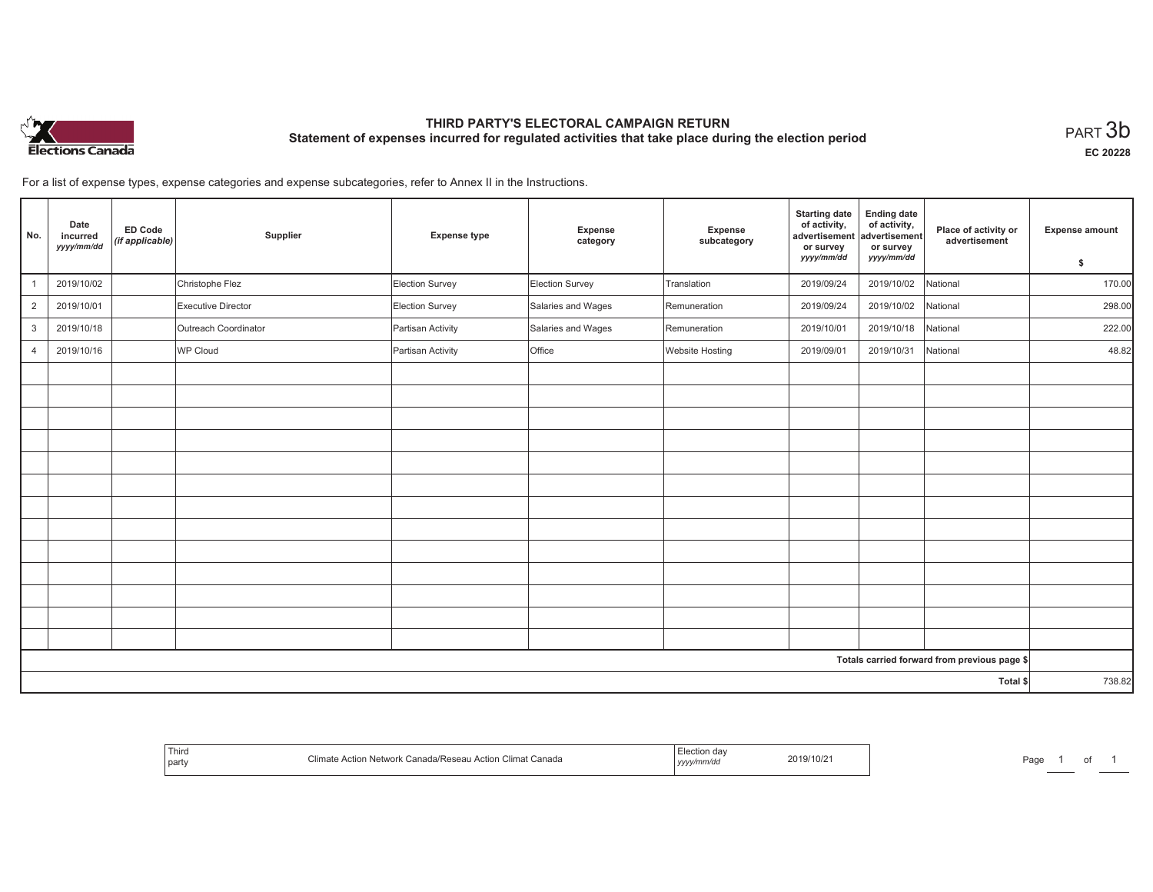

# **THIRD PARTY'S ELECTORAL CAMPAIGN RETURN Statement of expenses incurred for regulated activities that take place during the election period**<br>PART  $3\mathsf{b}$

**EC 20228**

For a list of expense types, expense categories and expense subcategories, refer to Annex II in the Instructions.

| No.            | Date<br>incurred<br>yyyy/mm/dd | ED Code<br>(if applicable) | Supplier             | <b>Expense type</b> | Expense<br>category | Expense<br>subcategory | <b>Starting date</b><br>of activity,<br>advertisement<br>or survey<br>yyyy/mm/dd | <b>Ending date</b><br>of activity,<br>advertisement<br>or survey<br>yyyy/mm/dd | Place of activity or<br>advertisement        | <b>Expense amount</b><br>\$ |
|----------------|--------------------------------|----------------------------|----------------------|---------------------|---------------------|------------------------|----------------------------------------------------------------------------------|--------------------------------------------------------------------------------|----------------------------------------------|-----------------------------|
|                | 2019/10/02                     |                            | Christophe Flez      | Election Survey     | Election Survey     | Translation            | 2019/09/24                                                                       | 2019/10/02                                                                     | National                                     | 170.00                      |
| $\overline{2}$ | 2019/10/01                     |                            | Executive Director   | Election Survey     | Salaries and Wages  | Remuneration           | 2019/09/24                                                                       | 2019/10/02                                                                     | National                                     | 298.00                      |
| $\mathbf{3}$   | 2019/10/18                     |                            | Outreach Coordinator | Partisan Activity   | Salaries and Wages  | Remuneration           | 2019/10/01                                                                       | 2019/10/18                                                                     | National                                     | 222.00                      |
|                |                                |                            |                      |                     |                     |                        |                                                                                  |                                                                                |                                              |                             |
| $\overline{4}$ | 2019/10/16                     |                            | WP Cloud             | Partisan Activity   | Office              | <b>Website Hosting</b> | 2019/09/01                                                                       | 2019/10/31                                                                     | National                                     | 48.82                       |
|                |                                |                            |                      |                     |                     |                        |                                                                                  |                                                                                |                                              |                             |
|                |                                |                            |                      |                     |                     |                        |                                                                                  |                                                                                |                                              |                             |
|                |                                |                            |                      |                     |                     |                        |                                                                                  |                                                                                |                                              |                             |
|                |                                |                            |                      |                     |                     |                        |                                                                                  |                                                                                |                                              |                             |
|                |                                |                            |                      |                     |                     |                        |                                                                                  |                                                                                |                                              |                             |
|                |                                |                            |                      |                     |                     |                        |                                                                                  |                                                                                |                                              |                             |
|                |                                |                            |                      |                     |                     |                        |                                                                                  |                                                                                |                                              |                             |
|                |                                |                            |                      |                     |                     |                        |                                                                                  |                                                                                |                                              |                             |
|                |                                |                            |                      |                     |                     |                        |                                                                                  |                                                                                |                                              |                             |
|                |                                |                            |                      |                     |                     |                        |                                                                                  |                                                                                |                                              |                             |
|                |                                |                            |                      |                     |                     |                        |                                                                                  |                                                                                |                                              |                             |
|                |                                |                            |                      |                     |                     |                        |                                                                                  |                                                                                |                                              |                             |
|                |                                |                            |                      |                     |                     |                        |                                                                                  |                                                                                |                                              |                             |
|                |                                |                            |                      |                     |                     |                        |                                                                                  |                                                                                | Totals carried forward from previous page \$ |                             |
|                |                                |                            |                      |                     |                     |                        |                                                                                  |                                                                                | Total \$                                     | 738.82                      |

| <sup>1</sup> Third<br>part | Canada<br>וגר | 9/10/2<br>l <i>yyyymmu</i> aa | Page |  |  |
|----------------------------|---------------|-------------------------------|------|--|--|
|----------------------------|---------------|-------------------------------|------|--|--|